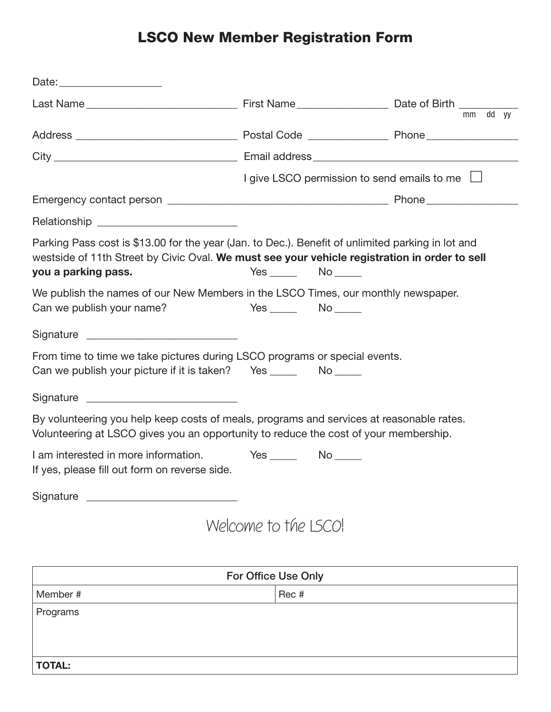## LSCO New Member Registration Form

|                                                                                                                                                                                                                           |                                                    |  |  | mm dd yy |  |
|---------------------------------------------------------------------------------------------------------------------------------------------------------------------------------------------------------------------------|----------------------------------------------------|--|--|----------|--|
|                                                                                                                                                                                                                           |                                                    |  |  |          |  |
|                                                                                                                                                                                                                           |                                                    |  |  |          |  |
|                                                                                                                                                                                                                           | I give LSCO permission to send emails to me $\Box$ |  |  |          |  |
|                                                                                                                                                                                                                           |                                                    |  |  |          |  |
|                                                                                                                                                                                                                           |                                                    |  |  |          |  |
| Parking Pass cost is \$13.00 for the year (Jan. to Dec.). Benefit of unlimited parking in lot and<br>westside of 11th Street by Civic Oval. We must see your vehicle registration in order to sell<br>you a parking pass. | $Yes$ $No$ $No$                                    |  |  |          |  |
| We publish the names of our New Members in the LSCO Times, our monthly newspaper.<br>Can we publish your name?                                                                                                            | Yes No                                             |  |  |          |  |
|                                                                                                                                                                                                                           |                                                    |  |  |          |  |
| From time to time we take pictures during LSCO programs or special events.<br>Can we publish your picture if it is taken? Yes _________ No _____                                                                          |                                                    |  |  |          |  |
|                                                                                                                                                                                                                           |                                                    |  |  |          |  |
| By volunteering you help keep costs of meals, programs and services at reasonable rates.<br>Volunteering at LSCO gives you an opportunity to reduce the cost of your membership.                                          |                                                    |  |  |          |  |
| If yes, please fill out form on reverse side.                                                                                                                                                                             |                                                    |  |  |          |  |
|                                                                                                                                                                                                                           |                                                    |  |  |          |  |
|                                                                                                                                                                                                                           | Welcome to the LSCO!                               |  |  |          |  |

| For Office Use Only |       |  |  |
|---------------------|-------|--|--|
| Member #            | Rec # |  |  |
| Programs            |       |  |  |
|                     |       |  |  |
|                     |       |  |  |
| <b>TOTAL:</b>       |       |  |  |